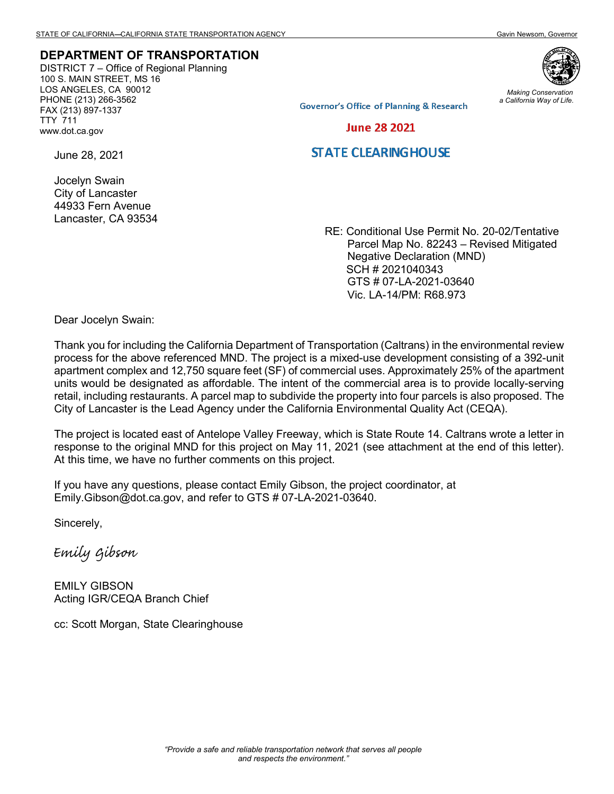## **DEPARTMENT OF TRANSPORTATION**

DISTRICT 7 – Office of Regional Planning 100 S. MAIN STREET, MS 16 LOS ANGELES, CA 90012 PHONE (213) 266-3562 FAX (213) 897-1337 TTY 711 www.dot.ca.gov



*Making Conservation a California Way of Life.*

**Governor's Office of Planning & Research** 

**June 28 2021** 

## **STATE CLEARING HOUSE**

June 28, 2021

Jocelyn Swain City of Lancaster 44933 Fern Avenue Lancaster, CA 93534

RE: Conditional Use Permit No. 20-02/Tentative Parcel Map No. 82243 – Revised Mitigated Negative Declaration (MND) SCH # 2021040343 GTS # 07-LA-2021-03640 Vic. LA-14/PM: R68.973

Dear Jocelyn Swain:

Thank you for including the California Department of Transportation (Caltrans) in the environmental review process for the above referenced MND. The project is a mixed-use development consisting of a 392-unit apartment complex and 12,750 square feet (SF) of commercial uses. Approximately 25% of the apartment units would be designated as affordable. The intent of the commercial area is to provide locally-serving retail, including restaurants. A parcel map to subdivide the property into four parcels is also proposed. The City of Lancaster is the Lead Agency under the California Environmental Quality Act (CEQA).

The project is located east of Antelope Valley Freeway, which is State Route 14. Caltrans wrote a letter in response to the original MND for this project on May 11, 2021 (see attachment at the end of this letter). At this time, we have no further comments on this project.

If you have any questions, please contact Emily Gibson, the project coordinator, at Emily.Gibson@dot.ca.gov, and refer to GTS # 07-LA-2021-03640.

Sincerely,

Emily Gibson

EMILY GIBSON Acting IGR/CEQA Branch Chief

cc: Scott Morgan, State Clearinghouse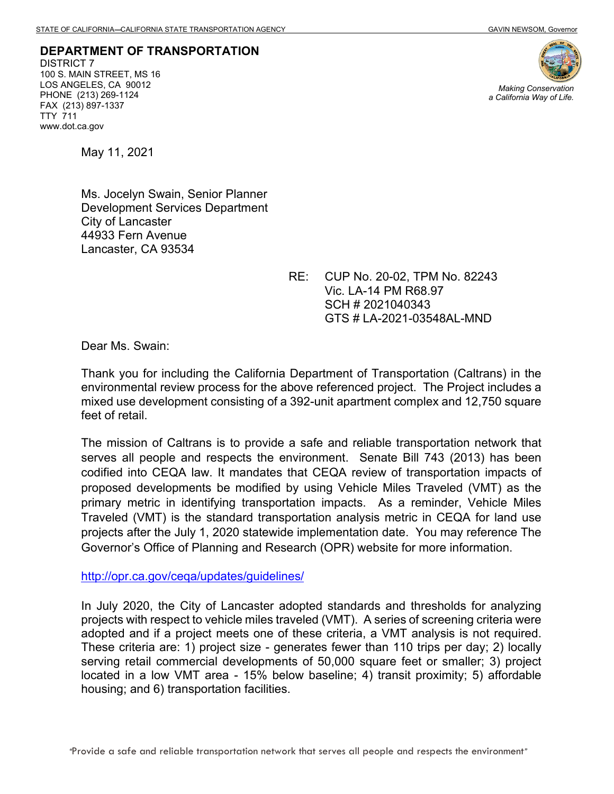**DEPARTMENT OF TRANSPORTATION** DISTRICT 7 100 S. MAIN STREET, MS 16 LOS ANGELES, CA 90012 PHONE (213) 269-1124 FAX (213) 897-1337 TTY 711 www.dot.ca.gov



*Making Conservation a California Way of Life.*

May 11, 2021

Ms. Jocelyn Swain, Senior Planner Development Services Department City of Lancaster 44933 Fern Avenue Lancaster, CA 93534

> RE: CUP No. 20-02, TPM No. 82243 Vic. LA-14 PM R68.97 SCH # 2021040343 GTS # LA-2021-03548AL-MND

Dear Ms. Swain:

Thank you for including the California Department of Transportation (Caltrans) in the environmental review process for the above referenced project. The Project includes a mixed use development consisting of a 392-unit apartment complex and 12,750 square feet of retail.

The mission of Caltrans is to provide a safe and reliable transportation network that serves all people and respects the environment. Senate Bill 743 (2013) has been codified into CEQA law. It mandates that CEQA review of transportation impacts of proposed developments be modified by using Vehicle Miles Traveled (VMT) as the primary metric in identifying transportation impacts. As a reminder, Vehicle Miles Traveled (VMT) is the standard transportation analysis metric in CEQA for land use projects after the July 1, 2020 statewide implementation date. You may reference The Governor's Office of Planning and Research (OPR) website for more information.

<http://opr.ca.gov/ceqa/updates/guidelines/>

In July 2020, the City of Lancaster adopted standards and thresholds for analyzing projects with respect to vehicle miles traveled (VMT). A series of screening criteria were adopted and if a project meets one of these criteria, a VMT analysis is not required. These criteria are: 1) project size - generates fewer than 110 trips per day; 2) locally serving retail commercial developments of 50,000 square feet or smaller; 3) project located in a low VMT area - 15% below baseline; 4) transit proximity; 5) affordable housing; and 6) transportation facilities.